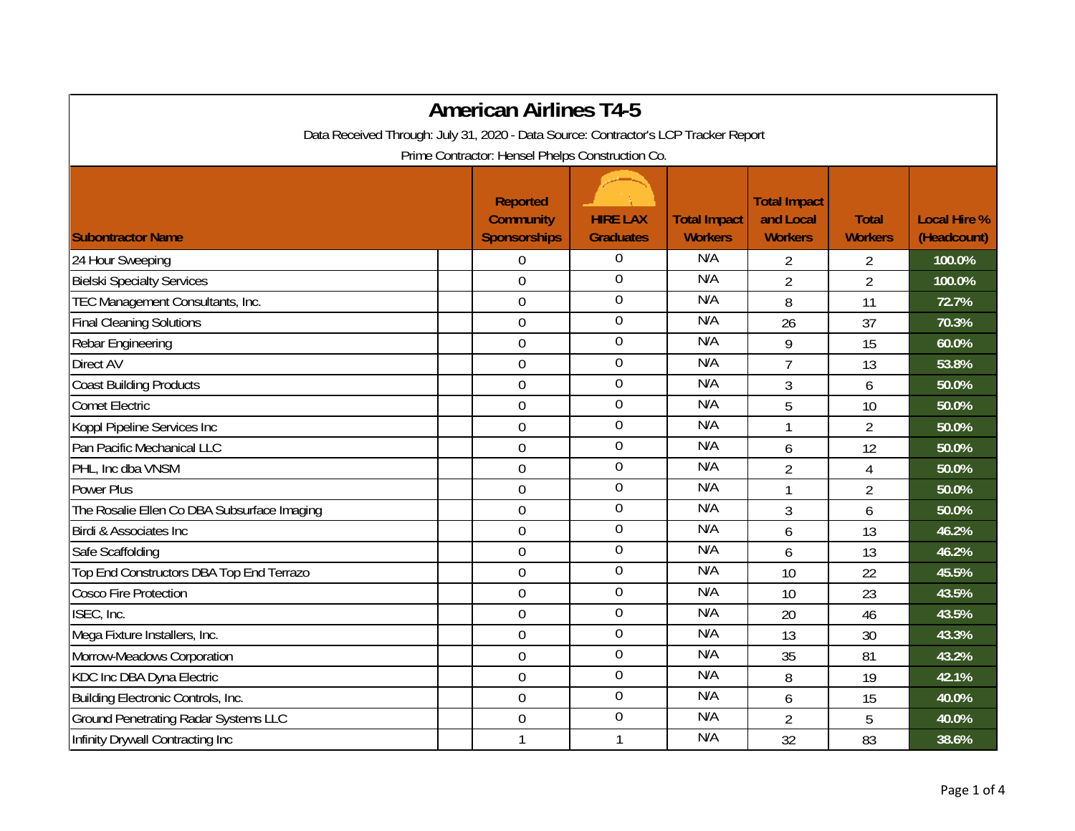| <b>American Airlines T4-5</b>                                                       |  |                                                            |                                     |                                       |                                                    |                                |                                    |  |
|-------------------------------------------------------------------------------------|--|------------------------------------------------------------|-------------------------------------|---------------------------------------|----------------------------------------------------|--------------------------------|------------------------------------|--|
| Data Received Through: July 31, 2020 - Data Source: Contractor's LCP Tracker Report |  |                                                            |                                     |                                       |                                                    |                                |                                    |  |
| Prime Contractor: Hensel Phelps Construction Co.                                    |  |                                                            |                                     |                                       |                                                    |                                |                                    |  |
| <b>Subontractor Name</b>                                                            |  | <b>Reported</b><br><b>Community</b><br><b>Sponsorships</b> | <b>HIRE LAX</b><br><b>Graduates</b> | <b>Total Impact</b><br><b>Workers</b> | <b>Total Impact</b><br>and Local<br><b>Workers</b> | <b>Total</b><br><b>Workers</b> | <b>Local Hire %</b><br>(Headcount) |  |
| 24 Hour Sweeping                                                                    |  | $\mathbf 0$                                                | $\boldsymbol{0}$                    | N/A                                   | $\overline{2}$                                     | 2                              | 100.0%                             |  |
| <b>Bielski Specialty Services</b>                                                   |  | $\mathbf 0$                                                | $\boldsymbol{0}$                    | N/A                                   | $\overline{2}$                                     | $\overline{2}$                 | 100.0%                             |  |
| TEC Management Consultants, Inc.                                                    |  | $\overline{0}$                                             | $\boldsymbol{0}$                    | N/A                                   | 8                                                  | 11                             | 72.7%                              |  |
| <b>Final Cleaning Solutions</b>                                                     |  | $\mathbf 0$                                                | $\overline{0}$                      | N/A                                   | 26                                                 | 37                             | 70.3%                              |  |
| Rebar Engineering                                                                   |  | $\mathbf 0$                                                | $\boldsymbol{0}$                    | N/A                                   | 9                                                  | 15                             | 60.0%                              |  |
| Direct AV                                                                           |  | $\overline{0}$                                             | $\boldsymbol{0}$                    | N/A                                   | $\overline{7}$                                     | 13                             | 53.8%                              |  |
| <b>Coast Building Products</b>                                                      |  | $\mathbf 0$                                                | $\mathbf 0$                         | N/A                                   | 3                                                  | 6                              | 50.0%                              |  |
| <b>Comet Electric</b>                                                               |  | $\mathbf 0$                                                | $\boldsymbol{0}$                    | N/A                                   | 5                                                  | 10                             | 50.0%                              |  |
| Koppl Pipeline Services Inc                                                         |  | $\overline{0}$                                             | $\mathbf 0$                         | N/A                                   | 1                                                  | $\overline{2}$                 | 50.0%                              |  |
| Pan Pacific Mechanical LLC                                                          |  | $\boldsymbol{0}$                                           | $\boldsymbol{0}$                    | N/A                                   | 6                                                  | 12                             | 50.0%                              |  |
| PHL, Inc dba VNSM                                                                   |  | $\mathbf 0$                                                | $\boldsymbol{0}$                    | N/A                                   | $\overline{2}$                                     | $\overline{4}$                 | 50.0%                              |  |
| <b>Power Plus</b>                                                                   |  | $\mathbf 0$                                                | $\overline{0}$                      | N/A                                   | 1                                                  | $\overline{2}$                 | 50.0%                              |  |
| The Rosalie Ellen Co DBA Subsurface Imaging                                         |  | $\boldsymbol{0}$                                           | $\mathbf 0$                         | N/A                                   | 3                                                  | 6                              | 50.0%                              |  |
| Birdi & Associates Inc                                                              |  | $\mathbf 0$                                                | $\mathbf 0$                         | N/A                                   | 6                                                  | 13                             | 46.2%                              |  |
| Safe Scaffolding                                                                    |  | $\mathbf 0$                                                | $\boldsymbol{0}$                    | N/A                                   | 6                                                  | 13                             | 46.2%                              |  |
| Top End Constructors DBA Top End Terrazo                                            |  | $\mathbf 0$                                                | $\boldsymbol{0}$                    | N/A                                   | 10                                                 | 22                             | 45.5%                              |  |
| <b>Cosco Fire Protection</b>                                                        |  | $\boldsymbol{0}$                                           | $\boldsymbol{0}$                    | N/A                                   | 10                                                 | 23                             | 43.5%                              |  |
| ISEC, Inc.                                                                          |  | $\mathbf 0$                                                | $\mathbf 0$                         | N/A                                   | 20                                                 | 46                             | 43.5%                              |  |
| Mega Fixture Installers, Inc.                                                       |  | $\mathbf 0$                                                | $\overline{0}$                      | N/A                                   | 13                                                 | 30                             | 43.3%                              |  |
| Morrow-Meadows Corporation                                                          |  | $\overline{0}$                                             | $\boldsymbol{0}$                    | N/A                                   | 35                                                 | 81                             | 43.2%                              |  |
| KDC Inc DBA Dyna Electric                                                           |  | $\mathbf 0$                                                | $\overline{0}$                      | N/A                                   | 8                                                  | 19                             | 42.1%                              |  |
| Building Electronic Controls, Inc.                                                  |  | $\mathbf 0$                                                | $\boldsymbol{0}$                    | N/A                                   | 6                                                  | 15                             | 40.0%                              |  |
| <b>Ground Penetrating Radar Systems LLC</b>                                         |  | $\mathbf 0$                                                | $\boldsymbol{0}$                    | N/A                                   | $\overline{2}$                                     | 5                              | 40.0%                              |  |
| Infinity Drywall Contracting Inc                                                    |  | 1                                                          | $\mathbf{1}$                        | N/A                                   | 32                                                 | 83                             | 38.6%                              |  |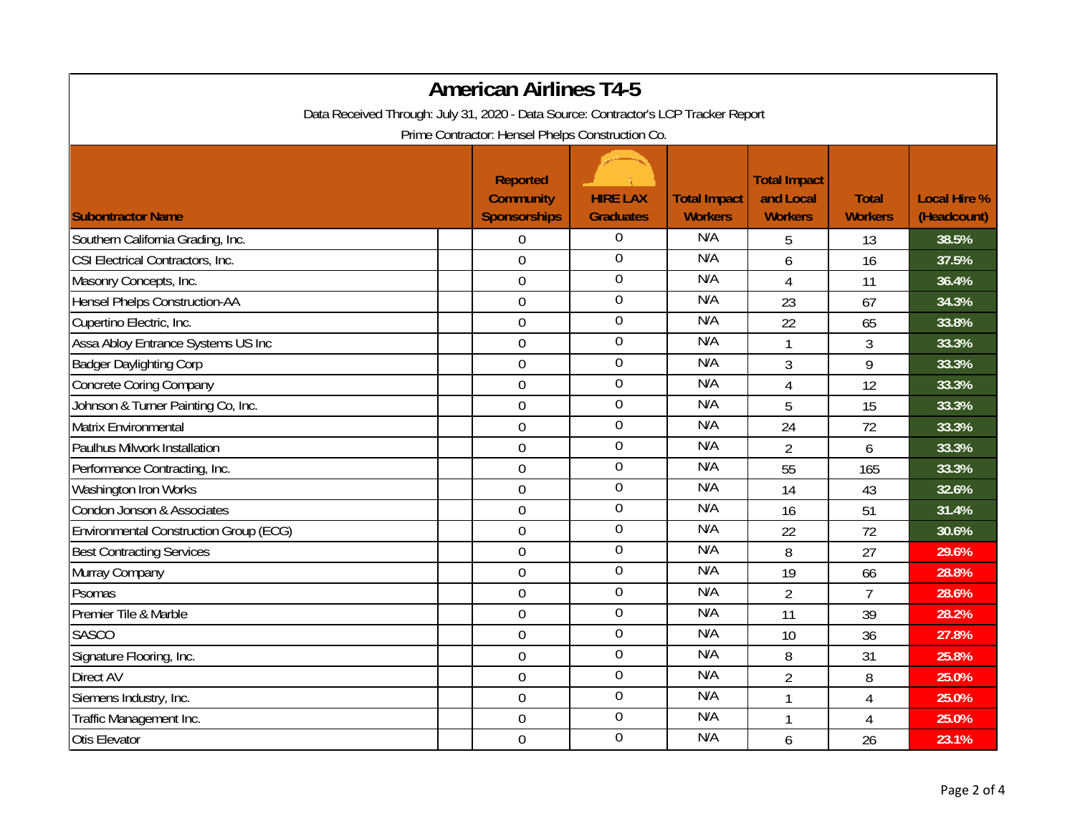|                                                                                     |  | <b>American Airlines T4-5</b>                              |                                     |                                       |                                                    |                                |                                    |  |
|-------------------------------------------------------------------------------------|--|------------------------------------------------------------|-------------------------------------|---------------------------------------|----------------------------------------------------|--------------------------------|------------------------------------|--|
| Data Received Through: July 31, 2020 - Data Source: Contractor's LCP Tracker Report |  |                                                            |                                     |                                       |                                                    |                                |                                    |  |
| Prime Contractor: Hensel Phelps Construction Co.                                    |  |                                                            |                                     |                                       |                                                    |                                |                                    |  |
| <b>Subontractor Name</b>                                                            |  | <b>Reported</b><br><b>Community</b><br><b>Sponsorships</b> | <b>HIRE LAX</b><br><b>Graduates</b> | <b>Total Impact</b><br><b>Workers</b> | <b>Total Impact</b><br>and Local<br><b>Workers</b> | <b>Total</b><br><b>Workers</b> | <b>Local Hire %</b><br>(Headcount) |  |
| Southern California Grading, Inc.                                                   |  | $\boldsymbol{0}$                                           | 0                                   | N/A                                   | 5                                                  | 13                             | 38.5%                              |  |
| CSI Electrical Contractors, Inc.                                                    |  | $\mathbf 0$                                                | $\overline{0}$                      | N/A                                   | 6                                                  | 16                             | 37.5%                              |  |
| Masonry Concepts, Inc.                                                              |  | $\mathbf 0$                                                | $\boldsymbol{0}$                    | N/A                                   | $\overline{4}$                                     | 11                             | 36.4%                              |  |
| <b>Hensel Phelps Construction-AA</b>                                                |  | $\boldsymbol{0}$                                           | $\boldsymbol{0}$                    | N/A                                   | 23                                                 | 67                             | 34.3%                              |  |
| Cupertino Electric, Inc.                                                            |  | $\mathbf 0$                                                | $\boldsymbol{0}$                    | N/A                                   | 22                                                 | 65                             | 33.8%                              |  |
| Assa Abloy Entrance Systems US Inc                                                  |  | $\overline{0}$                                             | $\mathbf 0$                         | N/A                                   | $\mathbf{1}$                                       | 3                              | 33.3%                              |  |
| <b>Badger Daylighting Corp</b>                                                      |  | $\boldsymbol{0}$                                           | $\overline{0}$                      | N/A                                   | 3                                                  | 9                              | 33.3%                              |  |
| <b>Concrete Coring Company</b>                                                      |  | $\mathbf 0$                                                | $\mathbf 0$                         | N/A                                   | 4                                                  | 12                             | 33.3%                              |  |
| Johnson & Turner Painting Co, Inc.                                                  |  | $\overline{0}$                                             | $\overline{0}$                      | N/A                                   | 5                                                  | 15                             | 33.3%                              |  |
| Matrix Environmental                                                                |  | $\mathbf 0$                                                | $\boldsymbol{0}$                    | N/A                                   | 24                                                 | 72                             | 33.3%                              |  |
| Paulhus Milwork Installation                                                        |  | $\overline{0}$                                             | $\boldsymbol{0}$                    | N/A                                   | $\overline{2}$                                     | 6                              | 33.3%                              |  |
| Performance Contracting, Inc.                                                       |  | $\overline{0}$                                             | $\boldsymbol{0}$                    | N/A                                   | 55                                                 | 165                            | 33.3%                              |  |
| Washington Iron Works                                                               |  | $\mathbf 0$                                                | $\mathbf 0$                         | N/A                                   | 14                                                 | 43                             | 32.6%                              |  |
| Condon Jonson & Associates                                                          |  | $\mathbf 0$                                                | $\boldsymbol{0}$                    | N/A                                   | 16                                                 | 51                             | 31.4%                              |  |
| <b>Environmental Construction Group (ECG)</b>                                       |  | $\boldsymbol{0}$                                           | $\boldsymbol{0}$                    | N/A                                   | 22                                                 | 72                             | 30.6%                              |  |
| <b>Best Contracting Services</b>                                                    |  | $\overline{0}$                                             | $\boldsymbol{0}$                    | N/A                                   | 8                                                  | 27                             | 29.6%                              |  |
| Murray Company                                                                      |  | $\mathbf 0$                                                | $\mathbf 0$                         | N/A                                   | 19                                                 | 66                             | 28.8%                              |  |
| Psomas                                                                              |  | $\mathbf 0$                                                | $\mathbf 0$                         | N/A                                   | $\overline{2}$                                     | $\overline{7}$                 | 28.6%                              |  |
| Premier Tile & Marble                                                               |  | $\overline{0}$                                             | $\mathbf 0$                         | N/A                                   | 11                                                 | 39                             | 28.2%                              |  |
| <b>SASCO</b>                                                                        |  | $\mathbf 0$                                                | $\boldsymbol{0}$                    | N/A                                   | 10                                                 | 36                             | 27.8%                              |  |
| Signature Flooring, Inc.                                                            |  | $\overline{0}$                                             | $\mathbf 0$                         | N/A                                   | 8                                                  | 31                             | 25.8%                              |  |
| <b>Direct AV</b>                                                                    |  | $\boldsymbol{0}$                                           | $\overline{0}$                      | N/A                                   | $\overline{2}$                                     | 8                              | 25.0%                              |  |
| Siemens Industry, Inc.                                                              |  | $\mathbf 0$                                                | $\boldsymbol{0}$                    | N/A                                   | $\mathbf{1}$                                       | 4                              | 25.0%                              |  |
| Traffic Management Inc.                                                             |  | $\mathbf 0$                                                | $\overline{0}$                      | N/A                                   | $\mathbf{1}$                                       | $\overline{4}$                 | 25.0%                              |  |
| Otis Elevator                                                                       |  | $\mathbf 0$                                                | $\overline{0}$                      | N/A                                   | 6                                                  | 26                             | 23.1%                              |  |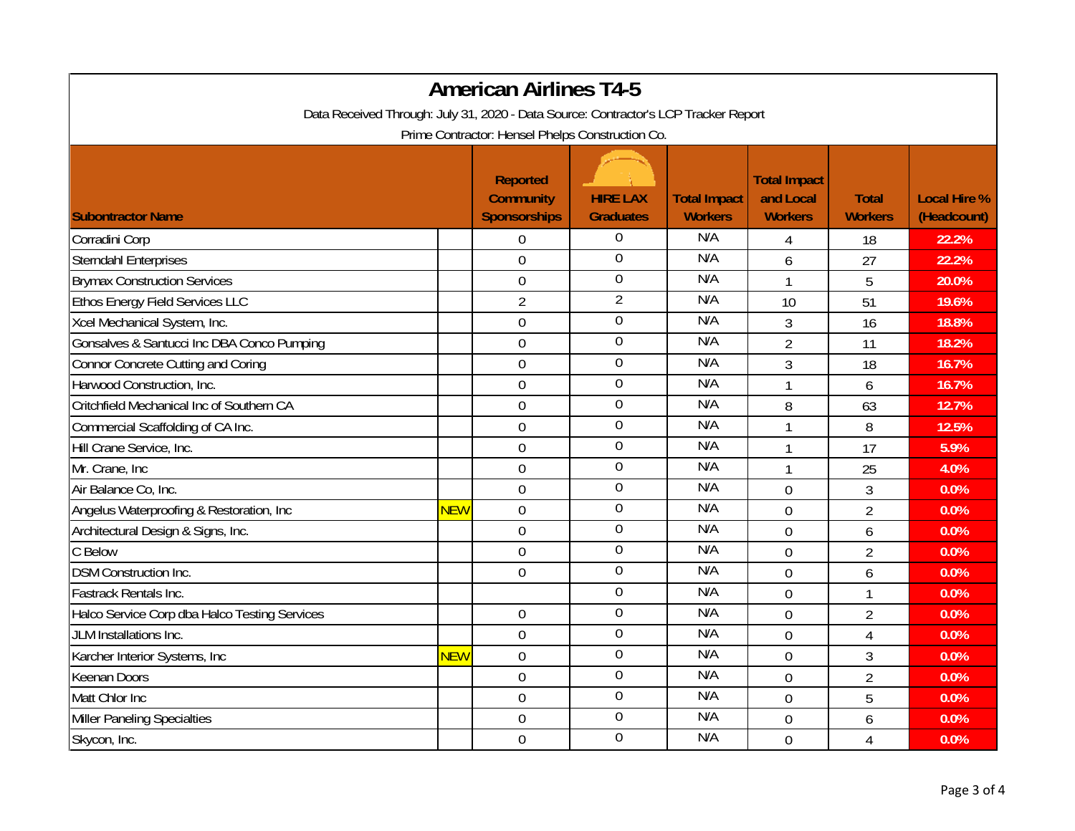| <b>American Airlines T4-5</b>                                                                                                           |            |                                                            |                                     |                                       |                                                    |                                |                                    |
|-----------------------------------------------------------------------------------------------------------------------------------------|------------|------------------------------------------------------------|-------------------------------------|---------------------------------------|----------------------------------------------------|--------------------------------|------------------------------------|
| Data Received Through: July 31, 2020 - Data Source: Contractor's LCP Tracker Report<br>Prime Contractor: Hensel Phelps Construction Co. |            |                                                            |                                     |                                       |                                                    |                                |                                    |
| <b>Subontractor Name</b>                                                                                                                |            | <b>Reported</b><br><b>Community</b><br><b>Sponsorships</b> | <b>HIRE LAX</b><br><b>Graduates</b> | <b>Total Impact</b><br><b>Workers</b> | <b>Total Impact</b><br>and Local<br><b>Workers</b> | <b>Total</b><br><b>Workers</b> | <b>Local Hire %</b><br>(Headcount) |
| Corradini Corp                                                                                                                          |            | $\boldsymbol{0}$                                           | 0                                   | N/A                                   | 4                                                  | 18                             | 22.2%                              |
| <b>Sterndahl Enterprises</b>                                                                                                            |            | $\overline{0}$                                             | $\overline{0}$                      | N/A                                   | 6                                                  | 27                             | 22.2%                              |
| <b>Brymax Construction Services</b>                                                                                                     |            | $\boldsymbol{0}$                                           | $\boldsymbol{0}$                    | N/A                                   | $\mathbf{1}$                                       | 5                              | 20.0%                              |
| Ethos Energy Field Services LLC                                                                                                         |            | $\overline{2}$                                             | $\overline{2}$                      | N/A                                   | 10                                                 | 51                             | 19.6%                              |
| Xcel Mechanical System, Inc.                                                                                                            |            | $\mathbf 0$                                                | $\boldsymbol{0}$                    | N/A                                   | $\overline{3}$                                     | 16                             | 18.8%                              |
| Gonsalves & Santucci Inc DBA Conco Pumping                                                                                              |            | $\overline{0}$                                             | $\boldsymbol{0}$                    | N/A                                   | $\overline{2}$                                     | 11                             | 18.2%                              |
| Connor Concrete Cutting and Coring                                                                                                      |            | $\mathbf 0$                                                | $\overline{0}$                      | N/A                                   | 3                                                  | 18                             | 16.7%                              |
| Harwood Construction, Inc.                                                                                                              |            | $\mathbf 0$                                                | $\boldsymbol{0}$                    | N/A                                   | $\mathbf{1}$                                       | 6                              | 16.7%                              |
| Critchfield Mechanical Inc of Southern CA                                                                                               |            | $\overline{0}$                                             | $\overline{0}$                      | N/A                                   | 8                                                  | 63                             | 12.7%                              |
| Commercial Scaffolding of CA Inc.                                                                                                       |            | $\mathbf 0$                                                | $\boldsymbol{0}$                    | N/A                                   | 1                                                  | 8                              | 12.5%                              |
| Hill Crane Service, Inc.                                                                                                                |            | $\overline{0}$                                             | $\mathbf 0$                         | N/A                                   | $\mathbf{1}$                                       | 17                             | 5.9%                               |
| Mr. Crane, Inc                                                                                                                          |            | $\overline{0}$                                             | $\boldsymbol{0}$                    | N/A                                   | $\mathbf{1}$                                       | 25                             | 4.0%                               |
| Air Balance Co, Inc.                                                                                                                    |            | $\mathbf 0$                                                | $\mathbf 0$                         | N/A                                   | $\overline{0}$                                     | $\mathfrak{Z}$                 | 0.0%                               |
| Angelus Waterproofing & Restoration, Inc                                                                                                | <b>NEW</b> | $\mathbf 0$                                                | $\boldsymbol{0}$                    | N/A                                   | $\overline{0}$                                     | $\overline{2}$                 | 0.0%                               |
| Architectural Design & Signs, Inc.                                                                                                      |            | $\mathbf 0$                                                | $\boldsymbol{0}$                    | N/A                                   | $\overline{0}$                                     | 6                              | 0.0%                               |
| C Below                                                                                                                                 |            | $\overline{0}$                                             | $\mathbf 0$                         | N/A                                   | $\overline{0}$                                     | $\overline{2}$                 | 0.0%                               |
| <b>DSM Construction Inc.</b>                                                                                                            |            | $\mathbf 0$                                                | $\mathbf 0$                         | N/A                                   | $\overline{0}$                                     | 6                              | 0.0%                               |
| Fastrack Rentals Inc.                                                                                                                   |            |                                                            | $\mathbf 0$                         | N/A                                   | $\overline{0}$                                     | 1                              | 0.0%                               |
| Halco Service Corp dba Halco Testing Services                                                                                           |            | $\boldsymbol{0}$                                           | $\mathbf 0$                         | N/A                                   | $\overline{0}$                                     | $\overline{2}$                 | 0.0%                               |
| JLM Installations Inc.                                                                                                                  |            | 0                                                          | $\overline{0}$                      | N/A                                   | $\overline{0}$                                     | 4                              | 0.0%                               |
| Karcher Interior Systems, Inc                                                                                                           | <b>NEW</b> | $\overline{0}$                                             | $\mathbf 0$                         | N/A                                   | $\overline{0}$                                     | 3                              | 0.0%                               |
| <b>Keenan Doors</b>                                                                                                                     |            | $\mathbf 0$                                                | $\overline{0}$                      | N/A                                   | $\overline{0}$                                     | $\overline{2}$                 | 0.0%                               |
| Matt Chlor Inc                                                                                                                          |            | $\mathbf 0$                                                | $\boldsymbol{0}$                    | N/A                                   | $\overline{0}$                                     | 5                              | 0.0%                               |
| Miller Paneling Specialties                                                                                                             |            | $\overline{0}$                                             | $\overline{0}$                      | N/A                                   | $\overline{0}$                                     | 6                              | 0.0%                               |
| Skycon, Inc.                                                                                                                            |            | $\overline{0}$                                             | $\overline{0}$                      | N/A                                   | $\overline{0}$                                     | 4                              | 0.0%                               |